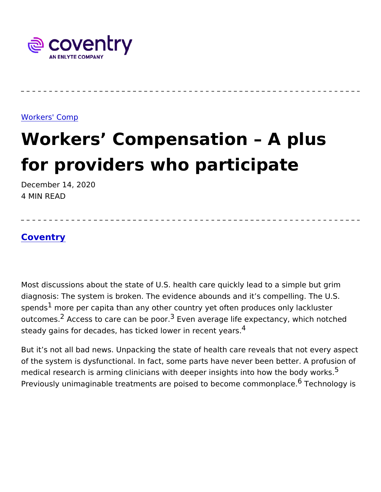#### [Workers' C](https://www.coventrywcs.com/insights/workers-comp)omp

# Workers Compensation Apl for providers who participate December 14, 2020

4 MIN READ

### [Covent](https://www.coventrywcs.com/node/4381)ry

Most discussions about the state of U.S. health care quickly lead to diagnosis: The system is broken. The evidence abounds and it s co spendsmore per capita than any other country yet often produces or outcom $\hat{\mathcal{C}}$ sAccess to care can  $^3$ b**E** vpeono average life expectancy, which r steady gains for decades, has ticked lowe $f$  in recent years.

But it s not all bad news. Unpacking the state of health care reveal of the system is dysfunctional. In fact, some parts have never been medical research is arming clinicians with deeper insights  $\delta$ nto how Previously unimaginable treatments are poised to be  $6c$  To ence holomogy  $n$  is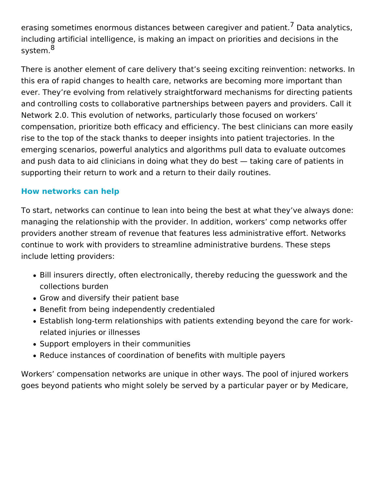erasing sometimes enormous distances between caregiver and patient.<sup>7</sup> Data analytics, including artificial intelligence, is making an impact on priorities and decisions in the system.<sup>8</sup>

There is another element of care delivery that's seeing exciting reinvention: networks. In this era of rapid changes to health care, networks are becoming more important than ever. They're evolving from relatively straightforward mechanisms for directing patients and controlling costs to collaborative partnerships between payers and providers. Call it Network 2.0. This evolution of networks, particularly those focused on workers' compensation, prioritize both efficacy and efficiency. The best clinicians can more easily rise to the top of the stack thanks to deeper insights into patient trajectories. In the emerging scenarios, powerful analytics and algorithms pull data to evaluate outcomes and push data to aid clinicians in doing what they do best — taking care of patients in supporting their return to work and a return to their daily routines.

## **How networks can help**

To start, networks can continue to lean into being the best at what they've always done: managing the relationship with the provider. In addition, workers' comp networks offer providers another stream of revenue that features less administrative effort. Networks continue to work with providers to streamline administrative burdens. These steps include letting providers:

- Bill insurers directly, often electronically, thereby reducing the guesswork and the collections burden
- Grow and diversify their patient base
- Benefit from being independently credentialed
- Establish long-term relationships with patients extending beyond the care for workrelated injuries or illnesses
- Support employers in their communities
- Reduce instances of coordination of benefits with multiple payers

Workers' compensation networks are unique in other ways. The pool of injured workers goes beyond patients who might solely be served by a particular payer or by Medicare,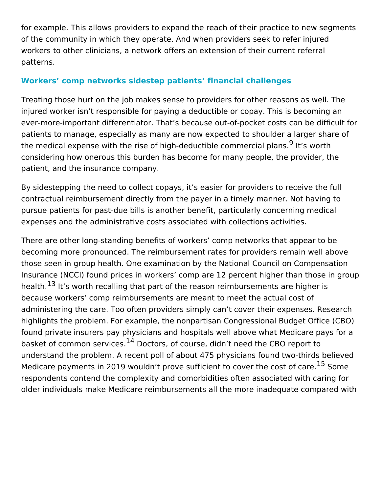for example. This allows providers to expand the reach of their practice to new segments of the community in which they operate. And when providers seek to refer injured workers to other clinicians, a network offers an extension of their current referral patterns.

### **Workers' comp networks sidestep patients' financial challenges**

Treating those hurt on the job makes sense to providers for other reasons as well. The injured worker isn't responsible for paying a deductible or copay. This is becoming an ever-more-important differentiator. That's because out-of-pocket costs can be difficult for patients to manage, especially as many are now expected to shoulder a larger share of the medical expense with the rise of high-deductible commercial plans.<sup>9</sup> It's worth considering how onerous this burden has become for many people, the provider, the patient, and the insurance company.

By sidestepping the need to collect copays, it's easier for providers to receive the full contractual reimbursement directly from the payer in a timely manner. Not having to pursue patients for past-due bills is another benefit, particularly concerning medical expenses and the administrative costs associated with collections activities.

There are other long-standing benefits of workers' comp networks that appear to be becoming more pronounced. The reimbursement rates for providers remain well above those seen in group health. One examination by the National Council on Compensation Insurance (NCCI) found prices in workers' comp are 12 percent higher than those in group health.<sup>13</sup> It's worth recalling that part of the reason reimbursements are higher is because workers' comp reimbursements are meant to meet the actual cost of administering the care. Too often providers simply can't cover their expenses. Research highlights the problem. For example, the nonpartisan Congressional Budget Office (CBO) found private insurers pay physicians and hospitals well above what Medicare pays for a basket of common services.<sup>14</sup> Doctors, of course, didn't need the CBO report to understand the problem. A recent poll of about 475 physicians found two-thirds believed Medicare payments in 2019 wouldn't prove sufficient to cover the cost of care.<sup>15</sup> Some respondents contend the complexity and comorbidities often associated with caring for older individuals make Medicare reimbursements all the more inadequate compared with